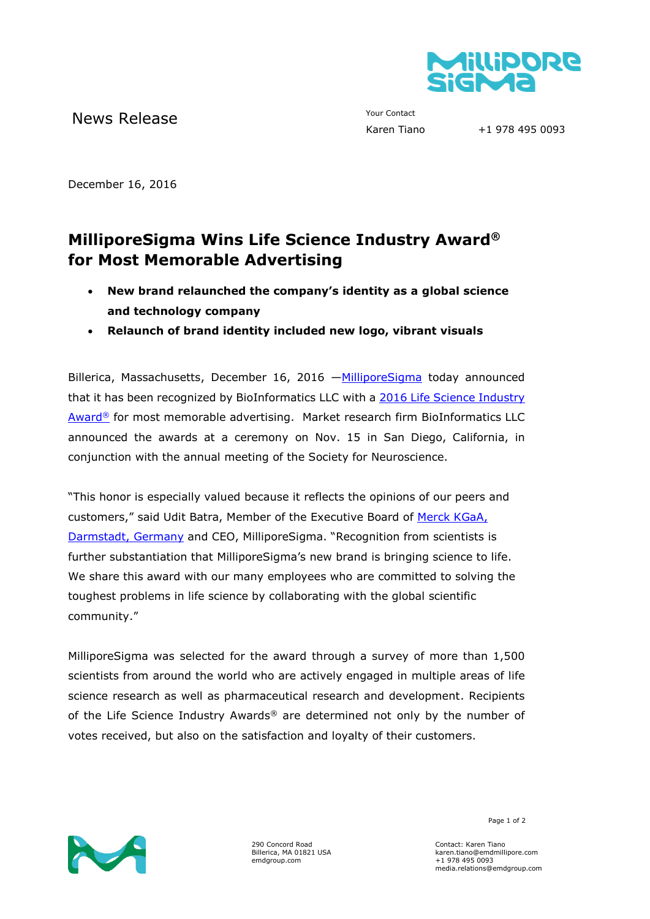

News Release The Contact Your Contact Trans

+1 978 495 0093

December 16, 2016

## **MilliporeSigma Wins Life Science Industry Award® for Most Memorable Advertising**

- **New brand relaunched the company's identity as a global science and technology company**
- **Relaunch of brand identity included new logo, vibrant visuals**

Billerica, Massachusetts, December 16, 2016 —[MilliporeSigma](http://www.emdgroup.com/emd/products/life_science/life_science.html) today announced that it has been recognized by BioInformatics LLC with a 2016 [Life Science Industry](http://www.lifescienceindustryawards.com/)  [Award](http://www.lifescienceindustryawards.com/)® for most memorable advertising. Market research firm BioInformatics LLC announced the awards at a ceremony on Nov. 15 in San Diego, California, in conjunction with the annual meeting of the Society for Neuroscience.

"This honor is especially valued because it reflects the opinions of our peers and customers," said Udit Batra, Member of the Executive Board of [Merck KGaA,](http://www.emdgroup.com/emd/index.html)  [Darmstadt, Germany](http://www.emdgroup.com/emd/index.html) and CEO, MilliporeSigma. "Recognition from scientists is further substantiation that MilliporeSigma's new brand is bringing science to life. We share this award with our many employees who are committed to solving the toughest problems in life science by collaborating with the global scientific community."

MilliporeSigma was selected for the award through a survey of more than 1,500 scientists from around the world who are actively engaged in multiple areas of life science research as well as pharmaceutical research and development. Recipients of the Life Science Industry Awards® are determined not only by the number of votes received, but also on the satisfaction and loyalty of their customers.



290 Concord Road Billerica, MA 01821 USA emdgroup.com

Page 1 of 2

Contact: Karen Tiano karen.tiano@emdmillipore.com +1 978 495 0093 media.relations@emdgroup.com